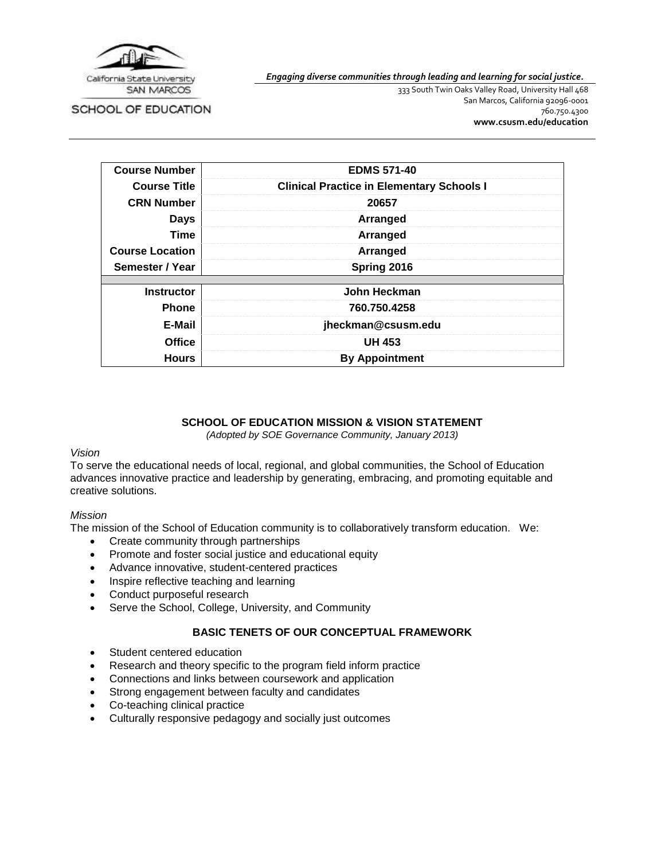

SCHOOL OF EDUCATION

*Engaging diverse communities through leading and learning for social justice.*

333 South Twin Oaks Valley Road, University Hall 468 San Marcos, California 92096-0001 760.750.4300 **[www.csusm.edu/education](http://www.csusm.edu/education)**

| <b>Course Number</b>   | <b>EDMS 571-40</b>                               |
|------------------------|--------------------------------------------------|
| <b>Course Title</b>    | <b>Clinical Practice in Elementary Schools I</b> |
| <b>CRN Number</b>      | 20657                                            |
| <b>Days</b>            | Arranged                                         |
| <b>Time</b>            | Arranged                                         |
| <b>Course Location</b> | Arranged                                         |
| Semester / Year        | Spring 2016                                      |
| <b>Instructor</b>      | John Heckman                                     |
|                        |                                                  |
| <b>Phone</b>           | 760.750.4258                                     |
| E-Mail                 | jheckman@csusm.edu                               |
| <b>Office</b>          | <b>UH 453</b>                                    |
| <b>Hours</b>           | <b>By Appointment</b>                            |

### **SCHOOL OF EDUCATION MISSION & VISION STATEMENT**

*(Adopted by SOE Governance Community, January 2013)*

#### *Vision*

To serve the educational needs of local, regional, and global communities, the School of Education advances innovative practice and leadership by generating, embracing, and promoting equitable and creative solutions.

#### *Mission*

The mission of the School of Education community is to collaboratively transform education. We:

- Create community through partnerships
- Promote and foster social justice and educational equity
- Advance innovative, student-centered practices
- Inspire reflective teaching and learning
- Conduct purposeful research
- Serve the School, College, University, and Community

## **BASIC TENETS OF OUR CONCEPTUAL FRAMEWORK**

- Student centered education
- Research and theory specific to the program field inform practice
- Connections and links between coursework and application
- Strong engagement between faculty and candidates
- Co-teaching clinical practice
- Culturally responsive pedagogy and socially just outcomes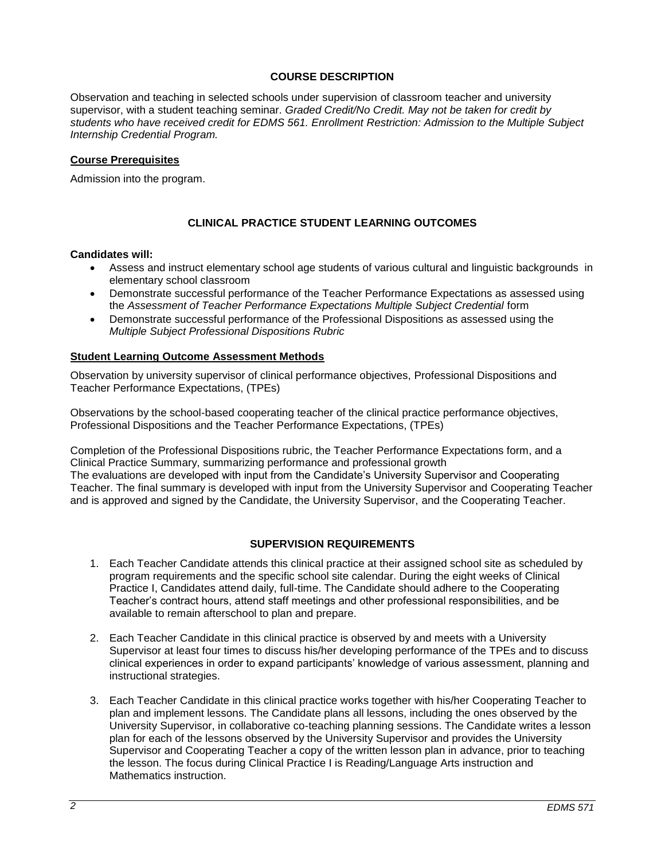## **COURSE DESCRIPTION**

Observation and teaching in selected schools under supervision of classroom teacher and university supervisor, with a student teaching seminar. *Graded Credit/No Credit. May not be taken for credit by students who have received credit for EDMS 561. Enrollment Restriction: Admission to the Multiple Subject Internship Credential Program.*

#### **Course Prerequisites**

Admission into the program.

## **CLINICAL PRACTICE STUDENT LEARNING OUTCOMES**

#### **Candidates will:**

- Assess and instruct elementary school age students of various cultural and linguistic backgrounds in elementary school classroom
- Demonstrate successful performance of the Teacher Performance Expectations as assessed using the *Assessment of Teacher Performance Expectations Multiple Subject Credential* form
- Demonstrate successful performance of the Professional Dispositions as assessed using the *Multiple Subject Professional Dispositions Rubric*

#### **Student Learning Outcome Assessment Methods**

Observation by university supervisor of clinical performance objectives, Professional Dispositions and Teacher Performance Expectations, (TPEs)

Observations by the school-based cooperating teacher of the clinical practice performance objectives, Professional Dispositions and the Teacher Performance Expectations, (TPEs)

Completion of the Professional Dispositions rubric, the Teacher Performance Expectations form, and a Clinical Practice Summary, summarizing performance and professional growth The evaluations are developed with input from the Candidate's University Supervisor and Cooperating Teacher. The final summary is developed with input from the University Supervisor and Cooperating Teacher and is approved and signed by the Candidate, the University Supervisor, and the Cooperating Teacher.

### **SUPERVISION REQUIREMENTS**

- 1. Each Teacher Candidate attends this clinical practice at their assigned school site as scheduled by program requirements and the specific school site calendar. During the eight weeks of Clinical Practice I, Candidates attend daily, full-time. The Candidate should adhere to the Cooperating Teacher's contract hours, attend staff meetings and other professional responsibilities, and be available to remain afterschool to plan and prepare.
- 2. Each Teacher Candidate in this clinical practice is observed by and meets with a University Supervisor at least four times to discuss his/her developing performance of the TPEs and to discuss clinical experiences in order to expand participants' knowledge of various assessment, planning and instructional strategies.
- 3. Each Teacher Candidate in this clinical practice works together with his/her Cooperating Teacher to plan and implement lessons. The Candidate plans all lessons, including the ones observed by the University Supervisor, in collaborative co-teaching planning sessions. The Candidate writes a lesson plan for each of the lessons observed by the University Supervisor and provides the University Supervisor and Cooperating Teacher a copy of the written lesson plan in advance, prior to teaching the lesson. The focus during Clinical Practice I is Reading/Language Arts instruction and Mathematics instruction.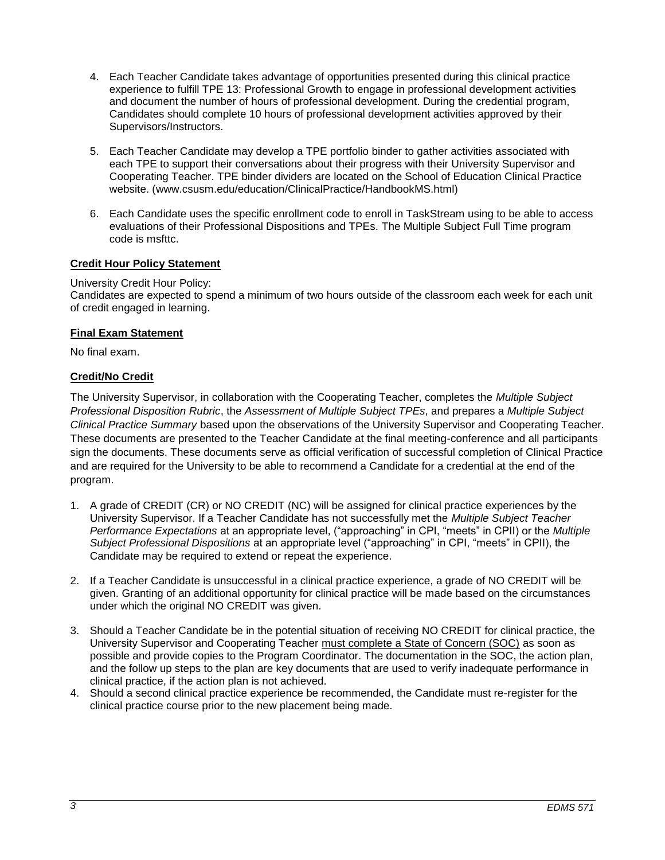- 4. Each Teacher Candidate takes advantage of opportunities presented during this clinical practice experience to fulfill TPE 13: Professional Growth to engage in professional development activities and document the number of hours of professional development. During the credential program, Candidates should complete 10 hours of professional development activities approved by their Supervisors/Instructors.
- 5. Each Teacher Candidate may develop a TPE portfolio binder to gather activities associated with each TPE to support their conversations about their progress with their University Supervisor and Cooperating Teacher. TPE binder dividers are located on the School of Education Clinical Practice website. (www.csusm.edu/education/ClinicalPractice/HandbookMS.html)
- 6. Each Candidate uses the specific enrollment code to enroll in TaskStream using to be able to access evaluations of their Professional Dispositions and TPEs. The Multiple Subject Full Time program code is msfttc.

## **Credit Hour Policy Statement**

### University Credit Hour Policy:

Candidates are expected to spend a minimum of two hours outside of the classroom each week for each unit of credit engaged in learning.

### **Final Exam Statement**

No final exam.

## **Credit/No Credit**

The University Supervisor, in collaboration with the Cooperating Teacher, completes the *Multiple Subject Professional Disposition Rubric*, the *Assessment of Multiple Subject TPEs*, and prepares a *Multiple Subject Clinical Practice Summary* based upon the observations of the University Supervisor and Cooperating Teacher. These documents are presented to the Teacher Candidate at the final meeting-conference and all participants sign the documents. These documents serve as official verification of successful completion of Clinical Practice and are required for the University to be able to recommend a Candidate for a credential at the end of the program.

- 1. A grade of CREDIT (CR) or NO CREDIT (NC) will be assigned for clinical practice experiences by the University Supervisor. If a Teacher Candidate has not successfully met the *Multiple Subject Teacher Performance Expectations* at an appropriate level, ("approaching" in CPI, "meets" in CPII) or the *Multiple Subject Professional Dispositions* at an appropriate level ("approaching" in CPI, "meets" in CPII), the Candidate may be required to extend or repeat the experience.
- 2. If a Teacher Candidate is unsuccessful in a clinical practice experience, a grade of NO CREDIT will be given. Granting of an additional opportunity for clinical practice will be made based on the circumstances under which the original NO CREDIT was given.
- 3. Should a Teacher Candidate be in the potential situation of receiving NO CREDIT for clinical practice, the University Supervisor and Cooperating Teacher must complete a State of Concern (SOC) as soon as possible and provide copies to the Program Coordinator. The documentation in the SOC, the action plan, and the follow up steps to the plan are key documents that are used to verify inadequate performance in clinical practice, if the action plan is not achieved.
- 4. Should a second clinical practice experience be recommended, the Candidate must re-register for the clinical practice course prior to the new placement being made.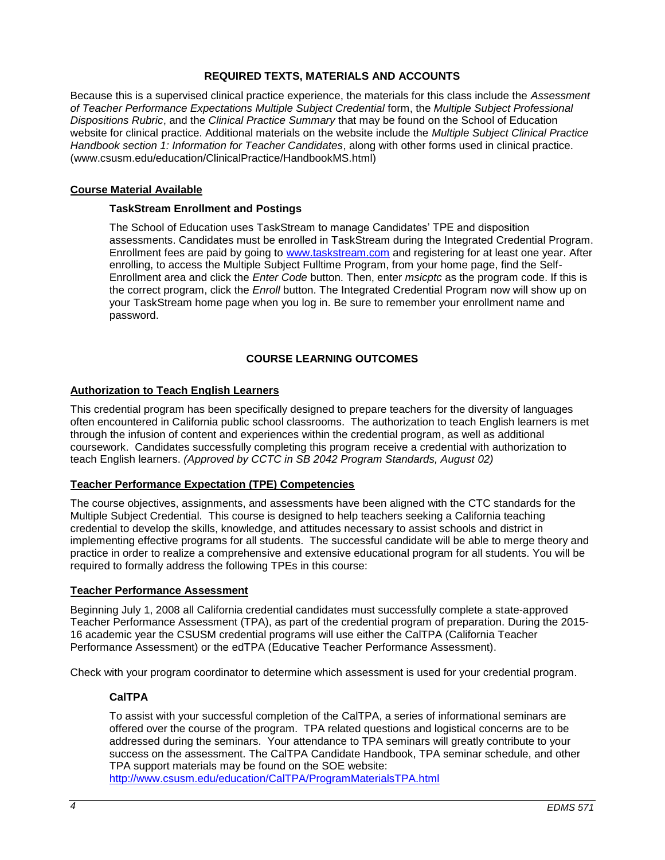## **REQUIRED TEXTS, MATERIALS AND ACCOUNTS**

Because this is a supervised clinical practice experience, the materials for this class include the *Assessment of Teacher Performance Expectations Multiple Subject Credential* form, the *Multiple Subject Professional Dispositions Rubric*, and the *Clinical Practice Summary* that may be found on the School of Education website for clinical practice. Additional materials on the website include the *Multiple Subject Clinical Practice Handbook section 1: Information for Teacher Candidates*, along with other forms used in clinical practice. (www.csusm.edu/education/ClinicalPractice/HandbookMS.html)

### **Course Material Available**

### **TaskStream Enrollment and Postings**

The School of Education uses TaskStream to manage Candidates' TPE and disposition assessments. Candidates must be enrolled in TaskStream during the Integrated Credential Program. Enrollment fees are paid by going to [www.taskstream.com](http://www.taskstrem.com/) and registering for at least one year. After enrolling, to access the Multiple Subject Fulltime Program, from your home page, find the Self-Enrollment area and click the *Enter Code* button. Then, enter *msicptc* as the program code. If this is the correct program, click the *Enroll* button. The Integrated Credential Program now will show up on your TaskStream home page when you log in. Be sure to remember your enrollment name and password.

## **COURSE LEARNING OUTCOMES**

### **Authorization to Teach English Learners**

This credential program has been specifically designed to prepare teachers for the diversity of languages often encountered in California public school classrooms. The authorization to teach English learners is met through the infusion of content and experiences within the credential program, as well as additional coursework. Candidates successfully completing this program receive a credential with authorization to teach English learners. *(Approved by CCTC in SB 2042 Program Standards, August 02)*

#### **Teacher Performance Expectation (TPE) Competencies**

The course objectives, assignments, and assessments have been aligned with the CTC standards for the Multiple Subject Credential. This course is designed to help teachers seeking a California teaching credential to develop the skills, knowledge, and attitudes necessary to assist schools and district in implementing effective programs for all students. The successful candidate will be able to merge theory and practice in order to realize a comprehensive and extensive educational program for all students. You will be required to formally address the following TPEs in this course:

#### **Teacher Performance Assessment**

Beginning July 1, 2008 all California credential candidates must successfully complete a state-approved Teacher Performance Assessment (TPA), as part of the credential program of preparation. During the 2015- 16 academic year the CSUSM credential programs will use either the CalTPA (California Teacher Performance Assessment) or the edTPA (Educative Teacher Performance Assessment).

Check with your program coordinator to determine which assessment is used for your credential program.

## **CalTPA**

To assist with your successful completion of the CalTPA, a series of informational seminars are offered over the course of the program. TPA related questions and logistical concerns are to be addressed during the seminars. Your attendance to TPA seminars will greatly contribute to your success on the assessment. The CalTPA Candidate Handbook, TPA seminar schedule, and other TPA support materials may be found on the SOE website:

<http://www.csusm.edu/education/CalTPA/ProgramMaterialsTPA.html>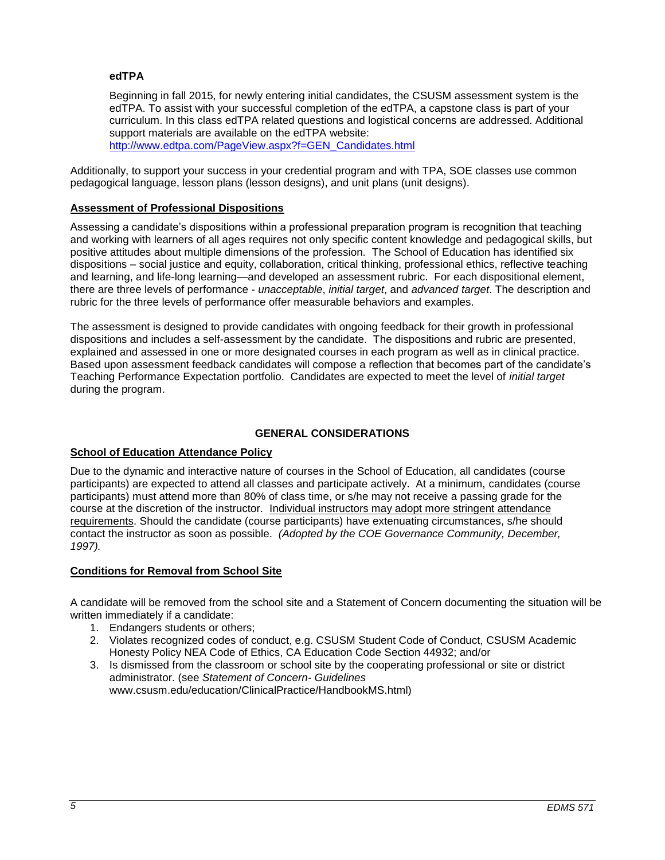### **edTPA**

Beginning in fall 2015, for newly entering initial candidates, the CSUSM assessment system is the edTPA. To assist with your successful completion of the edTPA, a capstone class is part of your curriculum. In this class edTPA related questions and logistical concerns are addressed. Additional support materials are available on the edTPA website: [http://www.edtpa.com/PageView.aspx?f=GEN\\_Candidates.html](http://www.edtpa.com/PageView.aspx?f=GEN_Candidates.html)

Additionally, to support your success in your credential program and with TPA, SOE classes use common pedagogical language, lesson plans (lesson designs), and unit plans (unit designs).

### **Assessment of Professional Dispositions**

Assessing a candidate's dispositions within a professional preparation program is recognition that teaching and working with learners of all ages requires not only specific content knowledge and pedagogical skills, but positive attitudes about multiple dimensions of the profession. The School of Education has identified six dispositions – social justice and equity, collaboration, critical thinking, professional ethics, reflective teaching and learning, and life-long learning—and developed an assessment rubric. For each dispositional element, there are three levels of performance - *unacceptable*, *initial target*, and *advanced target*. The description and rubric for the three levels of performance offer measurable behaviors and examples.

The assessment is designed to provide candidates with ongoing feedback for their growth in professional dispositions and includes a self-assessment by the candidate. The dispositions and rubric are presented, explained and assessed in one or more designated courses in each program as well as in clinical practice. Based upon assessment feedback candidates will compose a reflection that becomes part of the candidate's Teaching Performance Expectation portfolio. Candidates are expected to meet the level of *initial target* during the program.

## **GENERAL CONSIDERATIONS**

#### **School of Education Attendance Policy**

Due to the dynamic and interactive nature of courses in the School of Education, all candidates (course participants) are expected to attend all classes and participate actively. At a minimum, candidates (course participants) must attend more than 80% of class time, or s/he may not receive a passing grade for the course at the discretion of the instructor. Individual instructors may adopt more stringent attendance requirements. Should the candidate (course participants) have extenuating circumstances, s/he should contact the instructor as soon as possible. *(Adopted by the COE Governance Community, December, 1997).*

#### **Conditions for Removal from School Site**

A candidate will be removed from the school site and a Statement of Concern documenting the situation will be written immediately if a candidate:

- 1. Endangers students or others;
- 2. Violates recognized codes of conduct, e.g. CSUSM Student Code of Conduct, CSUSM Academic Honesty Policy NEA Code of Ethics, CA Education Code Section 44932; and/or
- 3. Is dismissed from the classroom or school site by the cooperating professional or site or district administrator. (see *Statement of Concern- Guidelines* www.csusm.edu/education/ClinicalPractice/HandbookMS.html)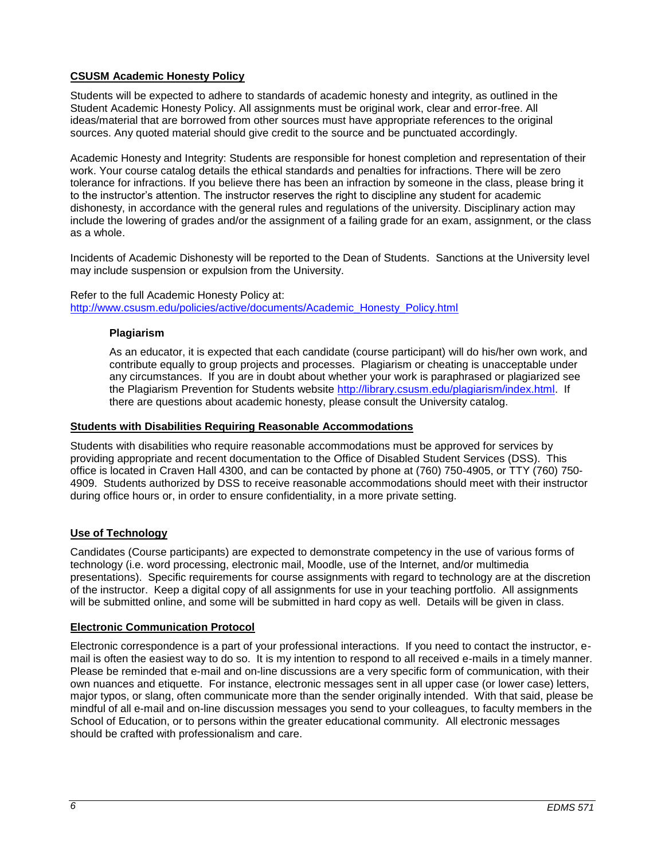# **CSUSM Academic Honesty Policy**

Students will be expected to adhere to standards of academic honesty and integrity, as outlined in the Student Academic Honesty Policy. All assignments must be original work, clear and error-free. All ideas/material that are borrowed from other sources must have appropriate references to the original sources. Any quoted material should give credit to the source and be punctuated accordingly.

Academic Honesty and Integrity: Students are responsible for honest completion and representation of their work. Your course catalog details the ethical standards and penalties for infractions. There will be zero tolerance for infractions. If you believe there has been an infraction by someone in the class, please bring it to the instructor's attention. The instructor reserves the right to discipline any student for academic dishonesty, in accordance with the general rules and regulations of the university. Disciplinary action may include the lowering of grades and/or the assignment of a failing grade for an exam, assignment, or the class as a whole.

Incidents of Academic Dishonesty will be reported to the Dean of Students. Sanctions at the University level may include suspension or expulsion from the University.

#### Refer to the full Academic Honesty Policy at: [http://www.csusm.edu/policies/active/documents/Academic\\_Honesty\\_Policy.html](http://www.csusm.edu/policies/active/documents/Academic_Honesty_Policy.html)

### **Plagiarism**

As an educator, it is expected that each candidate (course participant) will do his/her own work, and contribute equally to group projects and processes. Plagiarism or cheating is unacceptable under any circumstances. If you are in doubt about whether your work is paraphrased or plagiarized see the Plagiarism Prevention for Students website [http://library.csusm.edu/plagiarism/index.html.](http://library.csusm.edu/plagiarism/index.html) If there are questions about academic honesty, please consult the University catalog.

### **Students with Disabilities Requiring Reasonable Accommodations**

Students with disabilities who require reasonable accommodations must be approved for services by providing appropriate and recent documentation to the Office of Disabled Student Services (DSS). This office is located in Craven Hall 4300, and can be contacted by phone at (760) 750-4905, or TTY (760) 750- 4909. Students authorized by DSS to receive reasonable accommodations should meet with their instructor during office hours or, in order to ensure confidentiality, in a more private setting.

## **Use of Technology**

Candidates (Course participants) are expected to demonstrate competency in the use of various forms of technology (i.e. word processing, electronic mail, Moodle, use of the Internet, and/or multimedia presentations). Specific requirements for course assignments with regard to technology are at the discretion of the instructor. Keep a digital copy of all assignments for use in your teaching portfolio. All assignments will be submitted online, and some will be submitted in hard copy as well. Details will be given in class.

## **Electronic Communication Protocol**

Electronic correspondence is a part of your professional interactions. If you need to contact the instructor, email is often the easiest way to do so. It is my intention to respond to all received e-mails in a timely manner. Please be reminded that e-mail and on-line discussions are a very specific form of communication, with their own nuances and etiquette. For instance, electronic messages sent in all upper case (or lower case) letters, major typos, or slang, often communicate more than the sender originally intended. With that said, please be mindful of all e-mail and on-line discussion messages you send to your colleagues, to faculty members in the School of Education, or to persons within the greater educational community. All electronic messages should be crafted with professionalism and care.